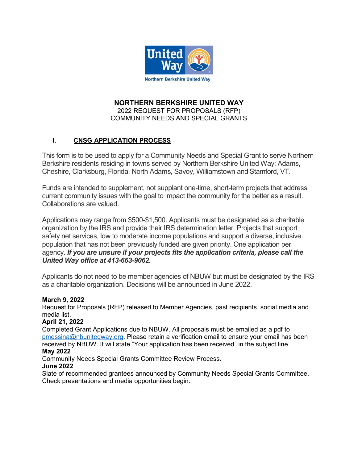

#### **NORTHERN BERKSHIRE UNITED WAY**  2022 REQUEST FOR PROPOSALS (RFP) COMMUNITY NEEDS AND SPECIAL GRANTS

# **I. CNSG APPLICATION PROCESS**

This form is to be used to apply for a Community Needs and Special Grant to serve Northern Berkshire residents residing in towns served by Northern Berkshire United Way: Adams, Cheshire, Clarksburg, Florida, North Adams, Savoy, Williamstown and Stamford, VT.

Funds are intended to supplement, not supplant one-time, short-term projects that address current community issues with the goal to impact the community for the better as a result. Collaborations are valued.

Applications may range from \$500-\$1,500. Applicants must be designated as a charitable organization by the IRS and provide their IRS determination letter. Projects that support safety net services, low to moderate income populations and support a diverse, inclusive population that has not been previously funded are given priority. One application per agency. *If you are unsure if your projects fits the application criteria, please call the United Way office at 413-663-9062.* 

Applicants do not need to be member agencies of NBUW but must be designated by the IRS as a charitable organization. Decisions will be announced in June 2022.

#### **March 9, 2022**

Request for Proposals (RFP) released to Member Agencies, past recipients, social media and media list.

## **April 21, 2022**

Completed Grant Applications due to NBUW. All proposals must be emailed as a pdf to [pmessina@nbunitedway.org.](mailto:pmessina@nbunitedway.org) Please retain a verification email to ensure your email has been received by NBUW. It will state "Your application has been received" in the subject line.

#### **May 2022**

Community Needs Special Grants Committee Review Process.

#### **June 2022**

Slate of recommended grantees announced by Community Needs Special Grants Committee. Check presentations and media opportunities begin.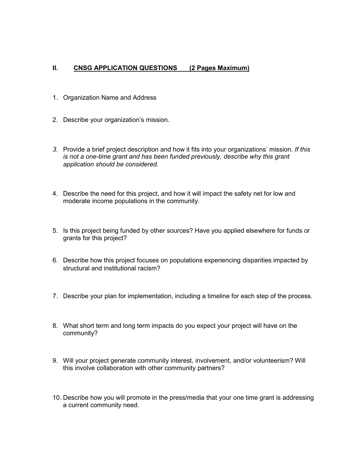#### **II. CNSG APPLICATION QUESTIONS (2 Pages Maximum)**

- 1. Organization Name and Address
- 2. Describe your organization's mission.
- *3.* Provide a brief project description and how it fits into your organizations' mission. *If this is not a one-time grant and has been funded previously, describe why this grant application should be considered.*
- 4. Describe the need for this project, and how it will impact the safety net for low and moderate income populations in the community.
- 5. Is this project being funded by other sources? Have you applied elsewhere for funds or grants for this project?
- 6. Describe how this project focuses on populations experiencing disparities impacted by structural and institutional racism?
- 7. Describe your plan for implementation, including a timeline for each step of the process.
- 8. What short term and long term impacts do you expect your project will have on the community?
- 9. Will your project generate community interest, involvement, and/or volunteerism? Will this involve collaboration with other community partners?
- 10. Describe how you will promote in the press/media that your one time grant is addressing a current community need.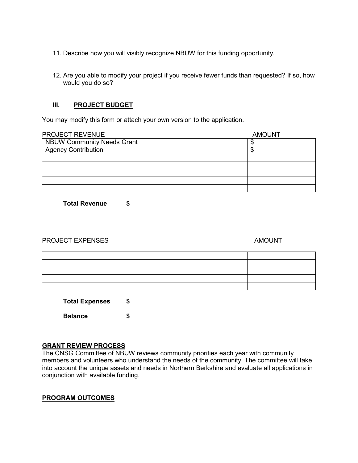- 11. Describe how you will visibly recognize NBUW for this funding opportunity.
- 12. Are you able to modify your project if you receive fewer funds than requested? If so, how would you do so?

#### **III. PROJECT BUDGET**

You may modify this form or attach your own version to the application.

| <b>PROJECT REVENUE</b>            | <b>AMOUNT</b> |
|-----------------------------------|---------------|
| <b>NBUW Community Needs Grant</b> |               |
| <b>Agency Contribution</b>        |               |
|                                   |               |
|                                   |               |
|                                   |               |
|                                   |               |
|                                   |               |

**Total Revenue \$**

#### PROJECT EXPENSES AMOUNT

**Total Expenses \$ Balance \$**

#### **GRANT REVIEW PROCESS**

The CNSG Committee of NBUW reviews community priorities each year with community members and volunteers who understand the needs of the community. The committee will take into account the unique assets and needs in Northern Berkshire and evaluate all applications in conjunction with available funding.

## **PROGRAM OUTCOMES**